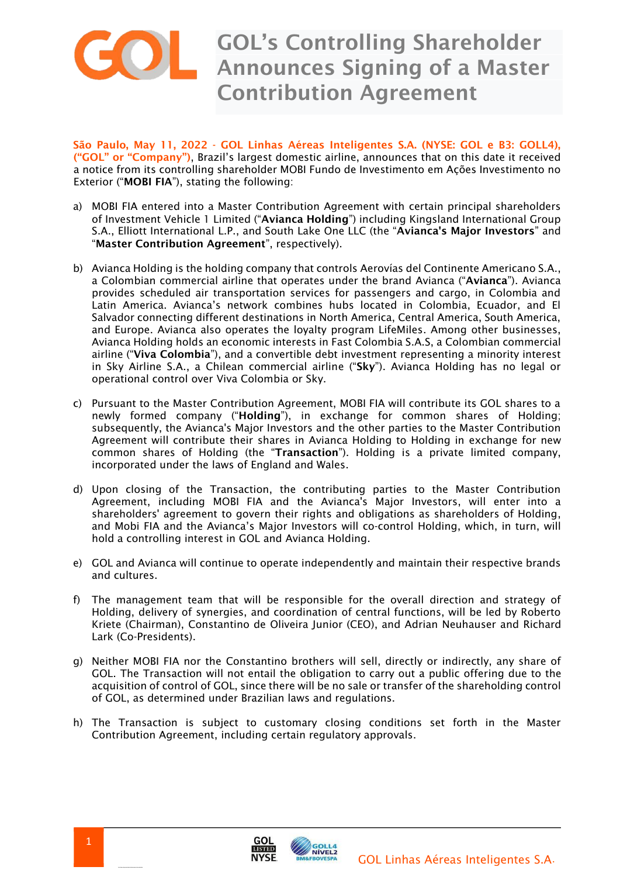

São Paulo, May 11, 2022 - GOL Linhas Aéreas Inteligentes S.A. (NYSE: GOL e B3: GOLL4), ("GOL" or "Company"), Brazil's largest domestic airline, announces that on this date it received a notice from its controlling shareholder MOBI Fundo de Investimento em Ações Investimento no Exterior ("MOBI FIA"), stating the following:

- a) MOBI FIA entered into a Master Contribution Agreement with certain principal shareholders of Investment Vehicle 1 Limited ("Avianca Holding") including Kingsland International Group S.A., Elliott International L.P., and South Lake One LLC (the "Avianca's Major Investors" and "Master Contribution Agreement", respectively).
- b) Avianca Holding is the holding company that controls Aerovías del Continente Americano S.A., a Colombian commercial airline that operates under the brand Avianca ("Avianca"). Avianca provides scheduled air transportation services for passengers and cargo, in Colombia and Latin America. Avianca's network combines hubs located in Colombia, Ecuador, and El Salvador connecting different destinations in North America, Central America, South America, and Europe. Avianca also operates the loyalty program LifeMiles. Among other businesses, Avianca Holding holds an economic interests in Fast Colombia S.A.S, a Colombian commercial airline ("Viva Colombia"), and a convertible debt investment representing a minority interest in Sky Airline S.A., a Chilean commercial airline ("Sky"). Avianca Holding has no legal or operational control over Viva Colombia or Sky.
- c) Pursuant to the Master Contribution Agreement, MOBI FIA will contribute its GOL shares to a newly formed company ("Holding"), in exchange for common shares of Holding; subsequently, the Avianca's Major Investors and the other parties to the Master Contribution Agreement will contribute their shares in Avianca Holding to Holding in exchange for new common shares of Holding (the "Transaction"). Holding is a private limited company, incorporated under the laws of England and Wales.
- d) Upon closing of the Transaction, the contributing parties to the Master Contribution Agreement, including MOBI FIA and the Avianca's Major Investors, will enter into a shareholders' agreement to govern their rights and obligations as shareholders of Holding, and Mobi FIA and the Avianca's Major Investors will co-control Holding, which, in turn, will hold a controlling interest in GOL and Avianca Holding.
- e) GOL and Avianca will continue to operate independently and maintain their respective brands and cultures.
- f) The management team that will be responsible for the overall direction and strategy of Holding, delivery of synergies, and coordination of central functions, will be led by Roberto Kriete (Chairman), Constantino de Oliveira Junior (CEO), and Adrian Neuhauser and Richard Lark (Co-Presidents).
- g) Neither MOBI FIA nor the Constantino brothers will sell, directly or indirectly, any share of GOL. The Transaction will not entail the obligation to carry out a public offering due to the acquisition of control of GOL, since there will be no sale or transfer of the shareholding control of GOL, as determined under Brazilian laws and regulations.
- h) The Transaction is subject to customary closing conditions set forth in the Master Contribution Agreement, including certain regulatory approvals.